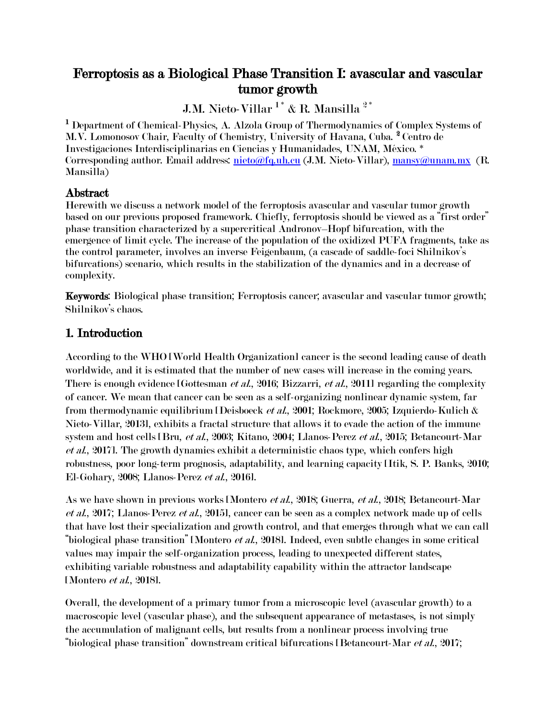# Ferroptosis as a Biological Phase Transition I: avascular and vascular tumor growth

J.M. Nieto-Villar $^{1^{\ast}}$  & R. Mansilla $^{2^{\ast}}$ 

<sup>1</sup> Department of Chemical-Physics, A. Alzola Group of Thermodynamics of Complex Systems of M.V. Lomonosov Chair, Faculty of Chemistry, University of Havana, Cuba. <sup>2</sup> Centro de Investigaciones Interdisciplinarias en Ciencias y Humanidades, UNAM, México. \* Corresponding author. Email address: [nieto@fq.uh.cu](mailto:nieto@fq.uh.cu) (J.M. Nieto-Villar), [mansy@unam.mx](mailto:mansy@unam.mx) (R. Mansilla)

#### Abstract

Herewith we discuss a network model of the ferroptosis avascular and vascular tumor growth based on our previous proposed framework. Chiefly, ferroptosis should be viewed as a "first order" phase transition characterized by a supercritical Andronov–Hopf bifurcation, with the emergence of limit cycle. The increase of the population of the oxidized PUFA fragments, take as the control parameter, involves an inverse Feigenbaum, (a cascade of saddle-foci Shilnikov"s bifurcations) scenario, which results in the stabilization of the dynamics and in a decrease of complexity.

Keywords: Biological phase transition; Ferroptosis cancer; avascular and vascular tumor growth; Shilnikov's chaos.

## 1. Introduction

According to the WHO [World Health Organization] cancer is the second leading cause of death worldwide, and it is estimated that the number of new cases will increase in the coming years. There is enough evidence [Gottesman *et al.*, 2016; Bizzarri, *et al.*, 2011] regarding the complexity of cancer. We mean that cancer can be seen as a self-organizing nonlinear dynamic system, far from thermodynamic equilibrium [Deisboeck et al., 2001; Rockmore, 2005; Izquierdo-Kulich & Nieto-Villar, 2013], exhibits a fractal structure that allows it to evade the action of the immune system and host cells [Bru, et al., 2003; Kitano, 2004; Llanos-Perez et al., 2015; Betancourt-Mar et al., 2017]. The growth dynamics exhibit a deterministic chaos type, which confers high robustness, poor long-term prognosis, adaptability, and learning capacity [Itik, S. P. Banks, 2010; El-Gohary, 2008; Llanos-Perez et al., 2016].

As we have shown in previous works [Montero et al., 2018; Guerra, et al., 2018; Betancourt-Mar et al., 2017; Llanos-Perez et al., 2015], cancer can be seen as a complex network made up of cells that have lost their specialization and growth control, and that emerges through what we can call "biological phase transition" [Montero et al., 2018]. Indeed, even subtle changes in some critical values may impair the self-organization process, leading to unexpected different states, exhibiting variable robustness and adaptability capability within the attractor landscape [Montero et al., 2018].

Overall, the development of a primary tumor from a microscopic level (avascular growth) to a macroscopic level (vascular phase), and the subsequent appearance of metastases, is not simply the accumulation of malignant cells, but results from a nonlinear process involving true "biological phase transition" downstream critical bifurcations [Betancourt-Mar et al., 2017;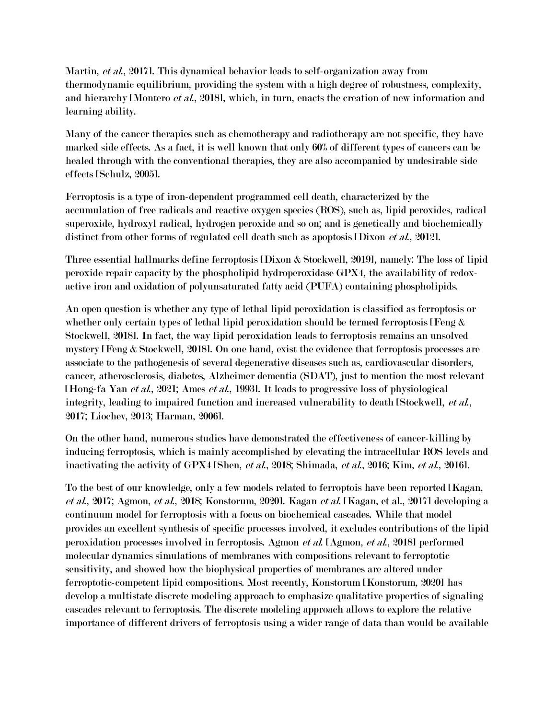Martin, et al., 2017]. This dynamical behavior leads to self-organization away from thermodynamic equilibrium, providing the system with a high degree of robustness, complexity, and hierarchy [Montero *et al.*, 2018], which, in turn, enacts the creation of new information and learning ability.

Many of the cancer therapies such as chemotherapy and radiotherapy are not specific, they have marked side effects. As a fact, it is well known that only 60% of different types of cancers can be healed through with the conventional therapies, they are also accompanied by undesirable side effects [Schulz, 2005].

Ferroptosis is a type of iron-dependent programmed cell death, characterized by the accumulation of free radicals and reactive oxygen species (ROS), such as, lipid peroxides, radical superoxide, hydroxyl radical, hydrogen peroxide and so on; and is genetically and biochemically distinct from other forms of regulated cell death such as apoptosis [Dixon *et al.*, 2012].

Three essential hallmarks define ferroptosis [Dixon & Stockwell, 2019], namely: The loss of lipid peroxide repair capacity by the phospholipid hydroperoxidase GPX4, the availability of redoxactive iron and oxidation of polyunsaturated fatty acid (PUFA) containing phospholipids.

An open question is whether any type of lethal lipid peroxidation is classified as ferroptosis or whether only certain types of lethal lipid peroxidation should be termed ferroptosis [Feng  $\&$ Stockwell, 2018]. In fact, the way lipid peroxidation leads to ferroptosis remains an unsolved mystery [Feng & Stockwell, 2018]. On one hand, exist the evidence that ferroptosis processes are associate to the pathogenesis of several degenerative diseases such as, cardiovascular disorders, cancer, atherosclerosis, diabetes, Alzheimer dementia (SDAT), just to mention the most relevant [Hong-fa Yan et al., 2021; Ames et al., 1993]. It leads to progressive loss of physiological integrity, leading to impaired function and increased vulnerability to death [Stockwell, *et al.*, 2017; Liochev, 2013; Harman, 2006].

On the other hand, numerous studies have demonstrated the effectiveness of cancer-killing by inducing ferroptosis, which is mainly accomplished by elevating the intracellular ROS levels and inactivating the activity of GPX4 [Shen, et al., 2018; Shimada, et al., 2016; Kim, et al., 2016].

To the best of our knowledge, only a few models related to ferroptois have been reported [Kagan, et al., 2017; Agmon, et al., 2018; Konstorum, 2020]. Kagan et al. [Kagan, et al., 2017] developing a continuum model for ferroptosis with a focus on biochemical cascades. While that model provides an excellent synthesis of specific processes involved, it excludes contributions of the lipid peroxidation processes involved in ferroptosis. Agmon et al. [Agmon, et al., 2018] performed molecular dynamics simulations of membranes with compositions relevant to ferroptotic sensitivity, and showed how the biophysical properties of membranes are altered under ferroptotic-competent lipid compositions. Most recently, Konstorum [Konstorum, 2020] has develop a multistate discrete modeling approach to emphasize qualitative properties of signaling cascades relevant to ferroptosis. The discrete modeling approach allows to explore the relative importance of different drivers of ferroptosis using a wider range of data than would be available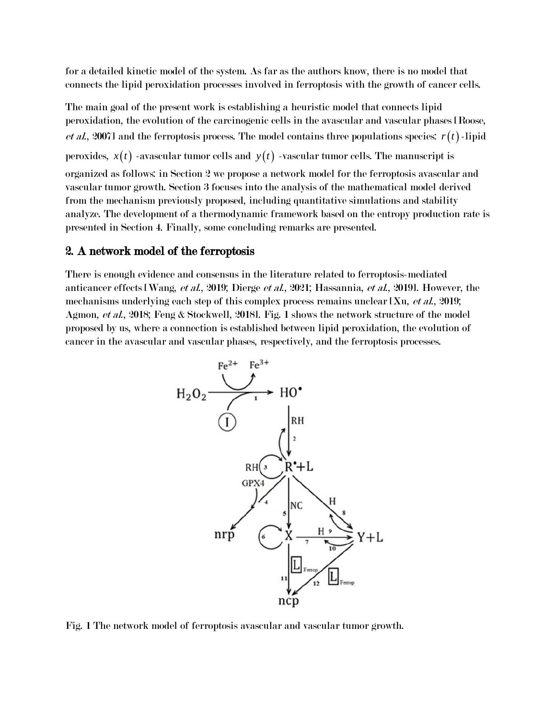for a detailed kinetic model of the system. As far as the authors know, there is no model that connects the lipid peroxidation processes involved in ferroptosis with the growth of cancer cells.

The main goal of the present work is establishing a heuristic model that connects lipid peroxidation, the evolution of the carcinogenic cells in the avascular and vascular phases [Roose, *et al.*, 2007] and the ferroptosis process. The model contains three populations species:  $r(t)$ -lipid peroxides,  $x(t)$  -avascular tumor cells and  $y(t)$  -vascular tumor cells. The manuscript is organized as follows: in Section 2 we propose a network model for the ferroptosis avascular and vascular tumor growth. Section 3 focuses into the analysis of the mathematical model derived from the mechanism previously proposed, including quantitative simulations and stability analyze. The development of a thermodynamic framework based on the entropy production rate is presented in Section 4. Finally, some concluding remarks are presented.

### 2. A network model of the ferroptosis

There is enough evidence and consensus in the literature related to ferroptosis-mediated anticancer effects [Wang, et al., 2019; Dierge et al., 2021; Hassannia, et al., 2019]. However, the mechanisms underlying each step of this complex process remains unclear [Xu, *et al.*, 2019; Agmon, et al., 2018; Feng & Stockwell, 2018]. Fig. 1 shows the network structure of the model proposed by us, where a connection is established between lipid peroxidation, the evolution of cancer in the avascular and vascular phases, respectively, and the ferroptosis processes.



Fig. 1 The network model of ferroptosis avascular and vascular tumor growth.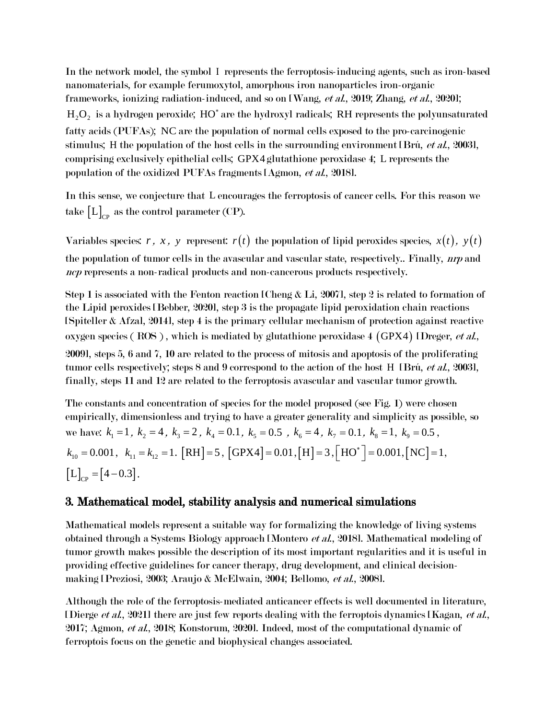In the network model, the symbol I represents the ferroptosis-inducing agents, such as iron-based nanomaterials, for example ferumoxytol, amorphous iron nanoparticles iron-organic frameworks, ionizing radiation-induced, and so on [Wang, et al., 2019; Zhang, et al., 2020];  $H_{2}O_{2}$  is a hydrogen peroxide;  $HO^{\ast}$  are the hydroxyl radicals; RH represents the polyunsaturated fatty acids (PUFAs); NC are the population of normal cells exposed to the pro-carcinogenic stimulus; H the population of the host cells in the surrounding environment [Brú, et al., 2003], comprising exclusively epithelial cells; GPX4 glutathione peroxidase 4; L represents the population of the oxidized PUFAs fragments [Agmon, et al., 2018].

In this sense, we conjecture that L encourages the ferroptosis of cancer cells. For this reason we take  $\left[\mathrm{L}\right]_{\mathrm{CP}}$  as the control parameter (CP).

Variables species: *r*, *x*, *y* represent:  $r(t)$  the population of lipid peroxides species,  $x(t)$ ,  $y(t)$ the population of tumor cells in the avascular and vascular state, respectively.. Finally, *nrp* and ncp represents a non-radical products and non-cancerous products respectively.

Step 1 is associated with the Fenton reaction [Cheng & Li, 2007], step 2 is related to formation of the Lipid peroxides [Bebber, 2020], step 3 is the propagate lipid peroxidation chain reactions [Spiteller & Afzal, 2014], step 4 is the primary cellular mechanism of protection against reactive oxygen species (ROS), which is mediated by glutathione peroxidase 4 (GPX4) IDreger, et al., 2009], steps 5, 6 and 7, 10 are related to the process of mitosis and apoptosis of the proliferating tumor cells respectively; steps 8 and 9 correspond to the action of the host H [Brú, et al., 2003], finally, steps 11 and 12 are related to the ferroptosis avascular and vascular tumor growth.

The constants and concentration of species for the model proposed (see Fig. 1) were chosen empirically, dimensionless and trying to have a greater generality and simplicity as possible, so we have:  $k_1 = 1$ ,  $k_2 = 4$ ,  $k_3 = 2$ ,  $k_4 = 0.1$ ,  $k_5 = 0.5$ ,  $k_6 = 4$ ,  $k_7 = 0.1$ ,  $k_8 = 1$ ,  $k_9 = 0.5$ ,  $k_{10} = 0.001, \ \ k_{11} = k_{12} = 1. \ [RH] = 5, [\text{GPX4}] = 0.01, [H] = 3, [\text{HO}^*] = 0.001, [\text{NC}] = 1,$  $[L]_{cp} = [4 - 0.3].$ 

#### 3. Mathematical model, stability analysis and numerical simulations

Mathematical models represent a suitable way for formalizing the knowledge of living systems obtained through a Systems Biology approach [Montero et al., 2018]. Mathematical modeling of tumor growth makes possible the description of its most important regularities and it is useful in providing effective guidelines for cancer therapy, drug development, and clinical decisionmaking [Preziosi, 2003; Araujo & McElwain, 2004; Bellomo, et al., 2008].

Although the role of the ferroptosis-mediated anticancer effects is well documented in literature, [Dierge *et al.*, 2021] there are just few reports dealing with the ferroptois dynamics [Kagan, *et al.*, 2017; Agmon, et al., 2018; Konstorum, 2020]. Indeed, most of the computational dynamic of ferroptois focus on the genetic and biophysical changes associated.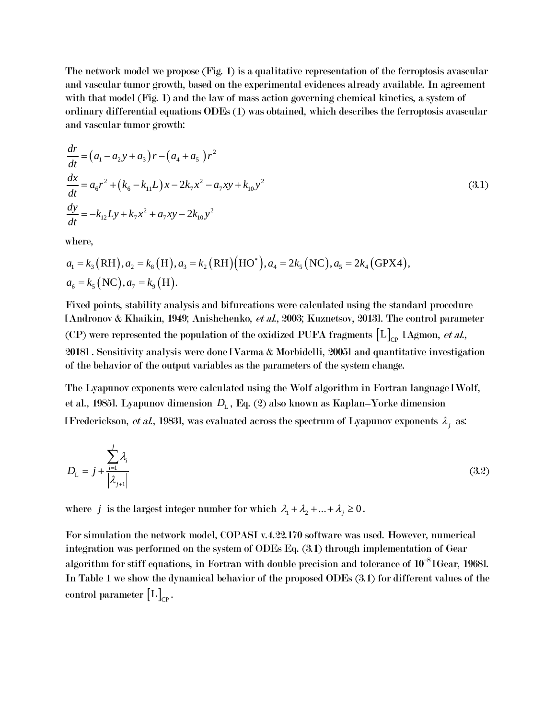The network model we propose (Fig. 1) is a qualitative representation of the ferroptosis avascular and vascular tumor growth, based on the experimental evidences already available. In agreement with that model (Fig. 1) and the law of mass action governing chemical kinetics, a system of ordinary differential equations ODEs (1) was obtained, which describes the ferroptosis avascular and vascular tumor growth:

$$
\frac{dr}{dt} = (a_1 - a_2y + a_3)r - (a_4 + a_5)r^2
$$
\n
$$
\frac{dx}{dt} = a_6r^2 + (k_6 - k_{11}L)x - 2k_7x^2 - a_7xy + k_{10}y^2
$$
\n
$$
\frac{dy}{dt} = -k_{12}Ly + k_7x^2 + a_7xy - 2k_{10}y^2
$$
\n(3.1)

where,

$$
dt
$$
  
where,  

$$
a_1 = k_3 (RH), a_2 = k_8 (H), a_3 = k_2 (RH) (HO^*), a_4 = 2k_5 (NC), a_5 = 2k_4 (GPX4),
$$
  

$$
a_6 = k_5 (NC), a_7 = k_9 (H).
$$

Fixed points, stability analysis and bifurcations were calculated using the standard procedure [Andronov & Khaikin, 1949; Anishchenko, et al., 2003; Kuznetsov, 2013]. The control parameter (CP) were represented the population of the oxidized PUFA fragments  $[L]_{\rm CP}$  [Agmon, *et al.*, 2018] . Sensitivity analysis were done [Varma & Morbidelli, 2005] and quantitative investigation of the behavior of the output variables as the parameters of the system change.

The Lyapunov exponents were calculated using the Wolf algorithm in Fortran language [Wolf, et al., 1985]. Lyapunov dimension  $D_{\rm L}$  , Eq. (2) also known as Kaplan–Yorke dimension [Frederickson, *et al.*, 1983], was evaluated across the spectrum of Lyapunov exponents  $\lambda_j$  as:

$$
D_{\mathcal{L}} = j + \frac{\sum_{i=1}^{j} \lambda_i}{|\lambda_{j+1}|} \tag{3.2}
$$

where *j* is the largest integer number for which  $\lambda_1 + \lambda_2 + ... + \lambda_j \ge 0$ .

For simulation the network model, COPASI v.4.22.170 software was used. However, numerical integration was performed on the system of ODEs Eq. (3.1) through implementation of Gear algorithm for stiff equations, in Fortran with double precision and tolerance of  $10^{-8}$  [Gear, 1968]. In Table 1 we show the dynamical behavior of the proposed ODEs (3.1) for different values of the control parameter  $\left[\mathrm{L}\right]_{\mathrm{CP}}$ .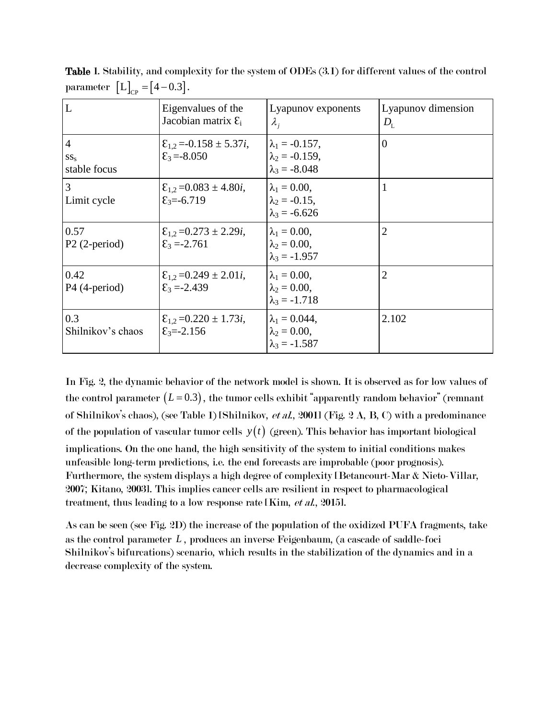| L                                          | Eigenvalues of the<br>Jacobian matrix $\mathcal{E}_i$                       | Lyapunov exponents<br>$\lambda_i$                                        | Lyapunov dimension<br>$D_{\rm L}$ |
|--------------------------------------------|-----------------------------------------------------------------------------|--------------------------------------------------------------------------|-----------------------------------|
| $\overline{4}$<br>$SS_{S}$<br>stable focus | $\mathcal{E}_{1,2}$ = -0.158 $\pm$ 5.37 <i>i</i> ,<br>$\epsilon_3 = -8.050$ | $\lambda_1 = -0.157$ ,<br>$\lambda_2 = -0.159$ ,<br>$\lambda_3 = -8.048$ | $\overline{0}$                    |
| 3<br>Limit cycle                           | $\mathcal{E}_{1,2}$ = 0.083 $\pm$ 4.80 <i>i</i> ,<br>$\epsilon_3 = -6.719$  | $\lambda_1 = 0.00,$<br>$\lambda_2 = -0.15$ ,<br>$\lambda_3 = -6.626$     | 1                                 |
| 0.57<br>$P2$ (2-period)                    | $\mathcal{E}_{1,2}$ = 0.273 $\pm$ 2.29 <i>i</i> ,<br>$\epsilon_3 = -2.761$  | $\lambda_1 = 0.00,$<br>$\lambda_2 = 0.00$ ,<br>$\lambda_3 = -1.957$      | $\overline{2}$                    |
| 0.42<br>$P4$ (4-period)                    | $\mathcal{E}_{1,2}$ =0.249 ± 2.01 <i>i</i> ,<br>$\epsilon_3 = -2.439$       | $\lambda_1 = 0.00,$<br>$\lambda_2 = 0.00$ ,<br>$\lambda_3 = -1.718$      | $\overline{2}$                    |
| 0.3<br>Shilnikov's chaos                   | $\mathcal{E}_{1.2}$ = 0.220 $\pm$ 1.73 <i>i</i> ,<br>$\epsilon_3 = -2.156$  | $\lambda_1 = 0.044$ ,<br>$\lambda_2 = 0.00,$<br>$\lambda_3 = -1.587$     | 2.102                             |

Table 1. Stability, and complexity for the system of ODEs (3.1) for different values of the control parameter  $[L]_{\text{CP}} = [4-0.3]$ .

In Fig. 2, the dynamic behavior of the network model is shown. It is observed as for low values of the control parameter  $(L=0.3)$ , the tumor cells exhibit "apparently random behavior" (remnant of Shilnikov's chaos), (see Table 1) [Shilnikov, *et al.*, 2001] (Fig. 2 A, B, C) with a predominance of the population of vascular tumor cells  $y(t)$  (green). This behavior has important biological implications. On the one hand, the high sensitivity of the system to initial conditions makes unfeasible long-term predictions, i.e. the end forecasts are improbable (poor prognosis). Furthermore, the system displays a high degree of complexity [Betancourt-Mar & Nieto-Villar, 2007; Kitano, 2003]. This implies cancer cells are resilient in respect to pharmacological treatment, thus leading to a low response rate [Kim, et al., 2015].

As can be seen (see Fig. 2D) the increase of the population of the oxidized PUFA fragments, take as the control parameter *L* , produces an inverse Feigenbaum, (a cascade of saddle-foci Shilnikov's bifurcations) scenario, which results in the stabilization of the dynamics and in a decrease complexity of the system.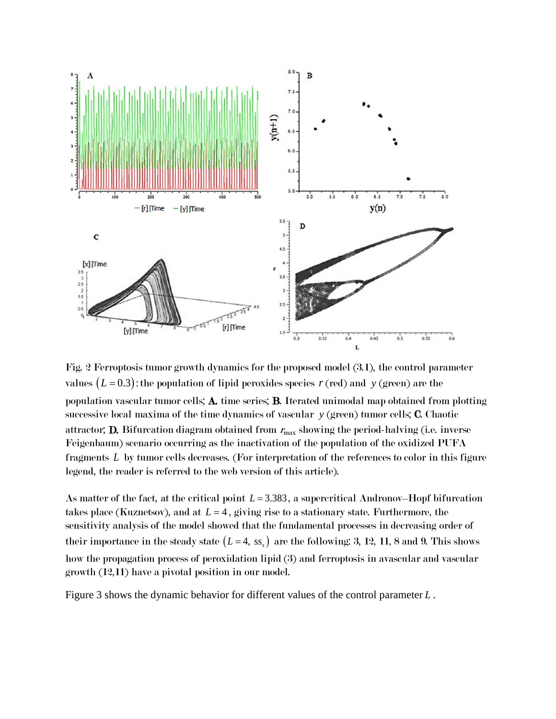

Fig. 2 Ferroptosis tumor growth dynamics for the proposed model (3.1), the control parameter values  $(L=0.3)$ : the population of lipid peroxides species  $r$  (red) and y (green) are the population vascular tumor cells; A. time series; B. Iterated unimodal map obtained from plotting successive local maxima of the time dynamics of vascular *y* (green) tumor cells; C. Chaotic attractor; **D.** Bifurcation diagram obtained from  $r_{\text{max}}$  showing the period-halving (i.e. inverse Feigenbaum) scenario occurring as the inactivation of the population of the oxidized PUFA fragments *L* by tumor cells decreases. (For interpretation of the references to color in this figure legend, the reader is referred to the web version of this article).

As matter of the fact, at the critical point  $L = 3.383$ , a supercritical Andronov–Hopf bifurcation takes place (Kuznetsov), and at  $L = 4$ , giving rise to a stationary state. Furthermore, the sensitivity analysis of the model showed that the fundamental processes in decreasing order of their importance in the steady state  $(L=4, ss_s)$  are the following: 3, 12, 11, 8 and 9. This shows how the propagation process of peroxidation lipid (3) and ferroptosis in avascular and vascular growth (12,11) have a pivotal position in our model.

Figure 3 shows the dynamic behavior for different values of the control parameter *L* .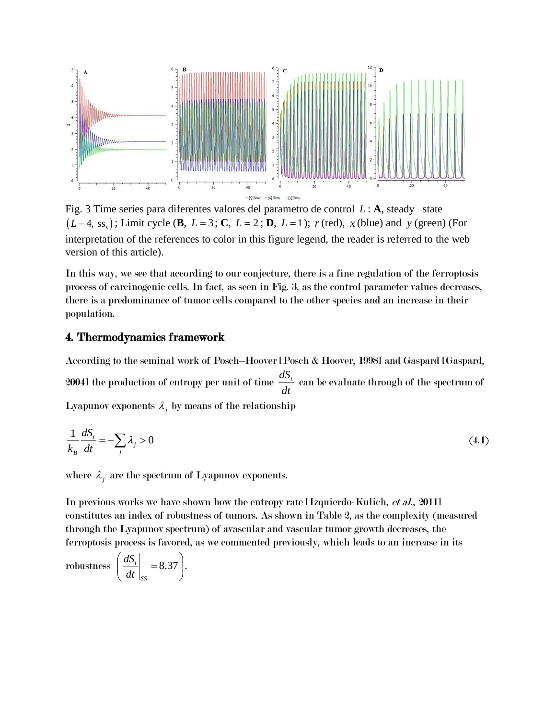

Fig. 3 Time series para diferentes valores del parametro de control *L* : **A**, steady state  $(L=4, \text{ss}_s)$ ; Limit cycle (**B**,  $L=3$ ; **C**,  $L=2$ ; **D**,  $L=1$ );  $r$  (red),  $x$  (blue) and  $y$  (green) (For interpretation of the references to color in this figure legend, the reader is referred to the web version of this article).

In this way, we see that according to our conjecture, there is a fine regulation of the ferroptosis process of carcinogenic cells. In fact, as seen in Fig. 3, as the control parameter values decreases, there is a predominance of tumor cells compared to the other species and an increase in their population.

#### 4. Thermodynamics framework

According to the seminal work of Posch–Hoover [Posch & Hoover, 1998] and Gaspard [Gaspard, 20041 the production of entropy per unit of time  $\frac{dS_i}{dt}$ *dt* can be evaluate through of the spectrum of Lyapunov exponents  $\lambda_j$  by means of the relationship

$$
\frac{1}{k_B} \frac{dS_i}{dt} = -\sum_j \lambda_j > 0 \tag{4.1}
$$

where  $\lambda_j$  are the spectrum of Lyapunov exponents.

In previous works we have shown how the entropy rate Hzquierdo-Kulich, *et al.*, 2011] constitutes an index of robustness of tumors. As shown in Table 2, as the complexity (measured through the Lyapunov spectrum) of avascular and vascular tumor growth decreases, the ferroptosis process is favored, as we commented previously, which leads to an increase in its

$$
robustness \left(\frac{dS_i}{dt}\bigg|_{SS} = 8.37\right).
$$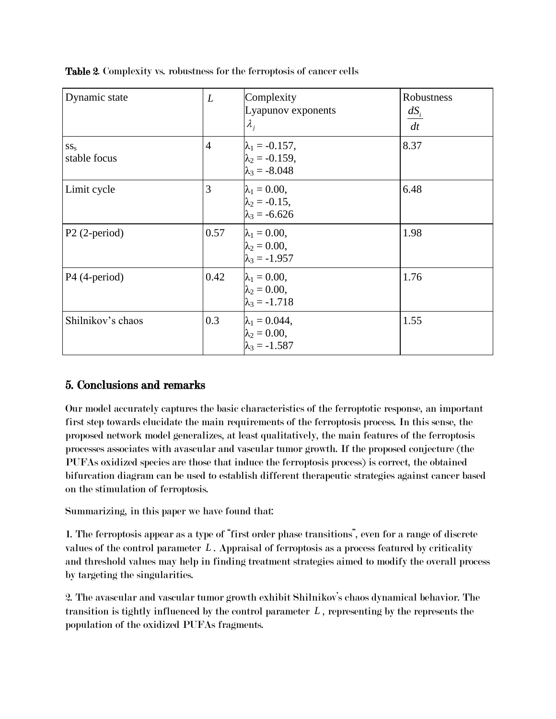| Dynamic state            | L              | Complexity<br>Lyapunov exponents<br>$\lambda_i$                          | Robustness<br>$dS_i$<br>dt |
|--------------------------|----------------|--------------------------------------------------------------------------|----------------------------|
| $SS_{S}$<br>stable focus | $\overline{4}$ | $\lambda_1 = -0.157$ ,<br>$\lambda_2 = -0.159$ ,<br>$\lambda_3 = -8.048$ | 8.37                       |
| Limit cycle              | 3              | $\lambda_1 = 0.00,$<br>$\lambda_2 = -0.15$ ,<br>$\lambda_3 = -6.626$     | 6.48                       |
| $P2$ (2-period)          | 0.57           | $\lambda_1 = 0.00$ ,<br>$\lambda_2 = 0.00$ ,<br>$\lambda_3 = -1.957$     | 1.98                       |
| P4 (4-period)            | 0.42           | $\lambda_1 = 0.00$ ,<br>$\lambda_2 = 0.00,$<br>$\lambda_3 = -1.718$      | 1.76                       |
| Shilnikov's chaos        | 0.3            | $\lambda_1 = 0.044,$<br>$\lambda_2 = 0.00$ ,<br>$\lambda_3 = -1.587$     | 1.55                       |

Table 2. Complexity vs. robustness for the ferroptosis of cancer cells

## 5. Conclusions and remarks

Our model accurately captures the basic characteristics of the ferroptotic response, an important first step towards elucidate the main requirements of the ferroptosis process. In this sense, the proposed network model generalizes, at least qualitatively, the main features of the ferroptosis processes associates with avascular and vascular tumor growth. If the proposed conjecture (the PUFAs oxidized species are those that induce the ferroptosis process) is correct, the obtained bifurcation diagram can be used to establish different therapeutic strategies against cancer based on the stimulation of ferroptosis.

Summarizing, in this paper we have found that:

1. The ferroptosis appear as a type of "first order phase transitions", even for a range of discrete values of the control parameter *L* . Appraisal of ferroptosis as a process featured by criticality and threshold values may help in finding treatment strategies aimed to modify the overall process by targeting the singularities.

2. The avascular and vascular tumor growth exhibit Shilnikov's chaos dynamical behavior. The transition is tightly influenced by the control parameter *L* , representing by the represents the population of the oxidized PUFAs fragments.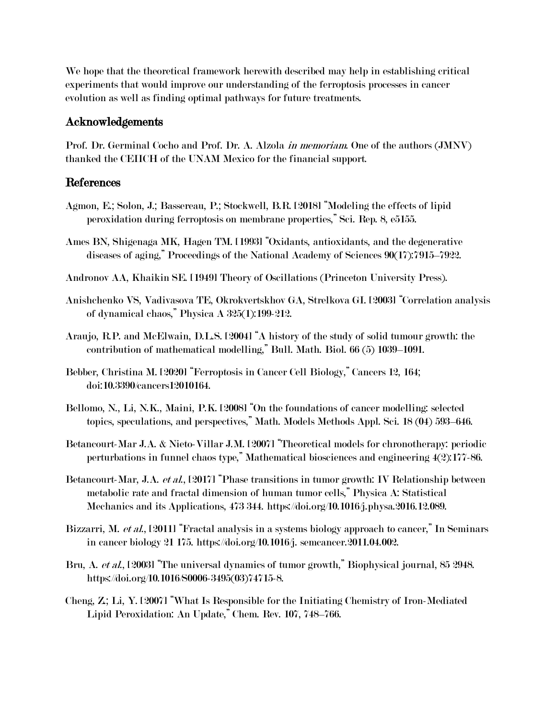We hope that the theoretical framework herewith described may help in establishing critical experiments that would improve our understanding of the ferroptosis processes in cancer evolution as well as finding optimal pathways for future treatments.

#### Acknowledgements

Prof. Dr. Germinal Cocho and Prof. Dr. A. Alzola in memoriam. One of the authors (JMNV) thanked the CEIICH of the UNAM Mexico for the financial support.

#### References

- Agmon, E.; Solon, J.; Bassereau, P.; Stockwell, B.R. [2018] "Modeling the effects of lipid peroxidation during ferroptosis on membrane properties," Sci. Rep. 8, e5155.
- Ames BN, Shigenaga MK, Hagen TM. [1993] "Oxidants, antioxidants, and the degenerative diseases of aging," Proceedings of the National Academy of Sciences 90(17):7915–7922.
- Andronov AA, Khaikin SE. [1949] Theory of Oscillations (Princeton University Press).
- Anishchenko VS, Vadivasova TE, Okrokvertskhov GA, Strelkova GI. [2003] "Correlation analysis of dynamical chaos," Physica A 325(1):199-212.
- Araujo, R.P. and McElwain, D.L.S. [2004] "A history of the study of solid tumour growth: the contribution of mathematical modelling," Bull. Math. Biol. 66 (5) 1039–1091.
- Bebber, Christina M. [2020] "Ferroptosis in Cancer Cell Biology," Cancers 12, 164; doi:10.3390/cancers12010164.
- Bellomo, N., Li, N.K., Maini, P.K. [2008] "On the foundations of cancer modelling: selected topics, speculations, and perspectives," Math. Models Methods Appl. Sci. 18 (04) 593–646.
- Betancourt-Mar J.A. & Nieto-Villar J.M. [2007] "Theoretical models for chronotherapy: periodic perturbations in funnel chaos type," Mathematical biosciences and engineering 4(2):177-86.
- Betancourt-Mar, J.A. *et al.*, [2017] "Phase transitions in tumor growth: IV Relationship between metabolic rate and fractal dimension of human tumor cells," Physica A: Statistical Mechanics and its Applications, 473 344. https://doi.org/10.1016/j.physa.2016.12.089.
- Bizzarri, M. et al., [2011] "Fractal analysis in a systems biology approach to cancer," In Seminars in cancer biology 21 175. https://doi.org/10.1016/j. semcancer.2011.04.002.
- Bru, A. et al., [2003] "The universal dynamics of tumor growth," Biophysical journal, 85 2948. https://doi.org/10.1016/S0006-3495(03)74715-8.
- Cheng, Z.; Li, Y. [2007] "What Is Responsible for the Initiating Chemistry of Iron-Mediated Lipid Peroxidation: An Update," Chem. Rev. 107, 748–766.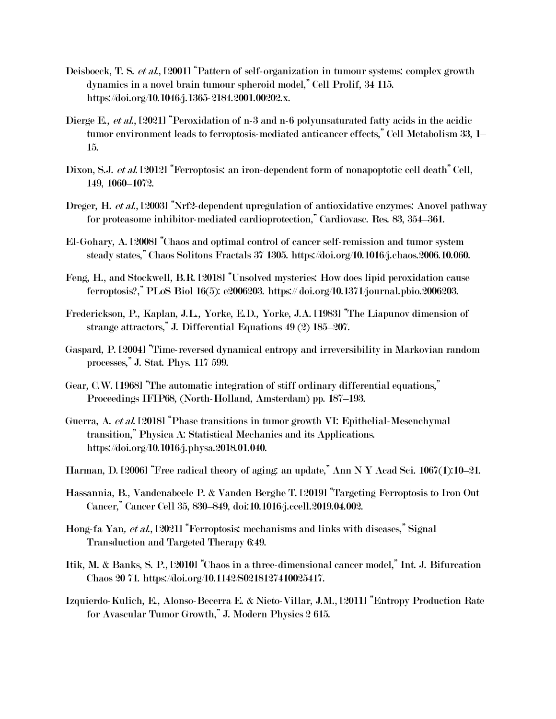- Deisboeck, T. S. et al., [2001] "Pattern of self-organization in tumour systems: complex growth dynamics in a novel brain tumour spheroid model," Cell Prolif, 34 115. https://doi.org/10.1046/j.1365-2184.2001.00202.x.
- Dierge E., *et al.*, [2021] "Peroxidation of n-3 and n-6 polyunsaturated fatty acids in the acidic tumor environment leads to ferroptosis-mediated anticancer effects," Cell Metabolism 33, 1– 15.
- Dixon, S.J. et al. [2012] "Ferroptosis: an iron-dependent form of nonapoptotic cell death" Cell, 149, 1060–1072.
- Dreger, H. *et al.*, [2003] "Nrf2-dependent upregulation of antioxidative enzymes: Anovel pathway for proteasome inhibitor-mediated cardioprotection," Cardiovasc. Res. 83, 354–361.
- El-Gohary, A. [2008] "Chaos and optimal control of cancer self-remission and tumor system steady states," Chaos Solitons Fractals 37 1305. https://doi.org/10.1016/j.chaos.2006.10.060.
- Feng, H., and Stockwell, B.R. [2018] "Unsolved mysteries: How does lipid peroxidation cause ferroptosis?," PLoS Biol 16(5): e2006203. https:// doi.org/10.1371/journal.pbio.2006203.
- Frederickson, P., Kaplan, J.L., Yorke, E.D., Yorke, J.A. [1983] "The Liapunov dimension of strange attractors," J. Differential Equations 49 (2) 185–207.
- Gaspard, P. [2004] "Time-reversed dynamical entropy and irreversibility in Markovian random processes," J. Stat. Phys. 117 599.
- Gear, C.W. [1968] "The automatic integration of stiff ordinary differential equations," Proceedings IFIP68, (North-Holland, Amsterdam) pp. 187–193.
- Guerra, A. et al. [2018] "Phase transitions in tumor growth VI: Epithelial-Mesenchymal transition," Physica A: Statistical Mechanics and its Applications. https://doi.org/10.1016/j.physa.2018.01.040.
- Harman, D. [2006] "Free radical theory of aging: an update," Ann N Y Acad Sci. 1067(1):10–21.
- Hassannia, B., Vandenabeele P. & Vanden Berghe T. [2019] "Targeting Ferroptosis to Iron Out Cancer," Cancer Cell 35, 830–849, doi:10.1016/j.ccell.2019.04.002.
- Hong-fa Yan, et al., [2021] "Ferroptosis: mechanisms and links with diseases," Signal Transduction and Targeted Therapy 6:49.
- Itik, M. & Banks, S. P., [2010] "Chaos in a three-dimensional cancer model," Int. J. Bifurcation Chaos 20 71. https://doi.org/10.1142/S0218127410025417.
- Izquierdo-Kulich, E., Alonso-Becerra E. & Nieto-Villar, J.M., [2011] "Entropy Production Rate for Avascular Tumor Growth," J. Modern Physics 2 615.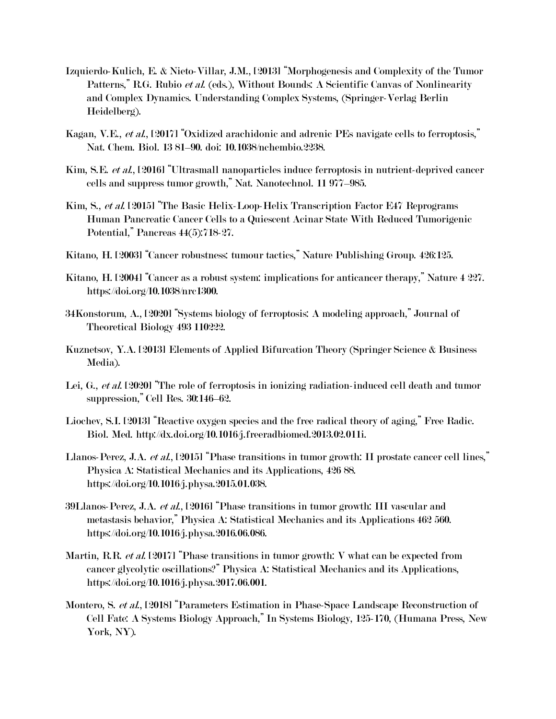- Izquierdo-Kulich, E. & Nieto-Villar, J.M., [2013] "Morphogenesis and Complexity of the Tumor Patterns," R.G. Rubio et al. (eds.), Without Bounds: A Scientific Canvas of Nonlinearity and Complex Dynamics. Understanding Complex Systems, (Springer-Verlag Berlin Heidelberg).
- Kagan, V.E., et al., [2017] "Oxidized arachidonic and adrenic PEs navigate cells to ferroptosis," Nat. Chem. Biol. 13 81–90. doi: 10.1038/nchembio.2238.
- Kim, S.E. et al., [2016] "Ultrasmall nanoparticles induce ferroptosis in nutrient-deprived cancer cells and suppress tumor growth," Nat. Nanotechnol. 11 977–985.
- Kim, S., et al. [2015] "The Basic Helix-Loop-Helix Transcription Factor E47 Reprograms Human Pancreatic Cancer Cells to a Quiescent Acinar State With Reduced Tumorigenic Potential," Pancreas 44(5):718-27.
- Kitano, H. [2003] "Cancer robustness: tumour tactics," Nature Publishing Group. 426:125.
- Kitano, H. [2004] "Cancer as a robust system: implications for anticancer therapy," Nature 4 227. https://doi.org/10.1038/nrc1300.
- 34Konstorum, A., [2020] "Systems biology of ferroptosis: A modeling approach," Journal of Theoretical Biology 493 110222.
- Kuznetsov, Y.A. [2013] Elements of Applied Bifurcation Theory (Springer Science & Business Media).
- Lei, G., et al. [2020] "The role of ferroptosis in ionizing radiation-induced cell death and tumor suppression," Cell Res. 30:146–62.
- Liochev, S.I. [2013] "Reactive oxygen species and the free radical theory of aging," Free Radic. Biol. Med. http://dx.doi.org/10.1016/j.freeradbiomed.2013.02.011i.
- Llanos-Perez, J.A. et al., [2015] "Phase transitions in tumor growth: II prostate cancer cell lines," Physica A: Statistical Mechanics and its Applications, 426 88. https://doi.org/10.1016/j.physa.2015.01.038.
- 39Llanos-Perez, J.A. *et al.*, [2016] "Phase transitions in tumor growth: III vascular and metastasis behavior," Physica A: Statistical Mechanics and its Applications 462 560. https://doi.org/10.1016/j.physa.2016.06.086.
- Martin, R.R. et al. [2017] "Phase transitions in tumor growth: V what can be expected from cancer glycolytic oscillations?" Physica A: Statistical Mechanics and its Applications, https://doi.org/10.1016/j.physa.2017.06.001.
- Montero, S. et al., [2018] "Parameters Estimation in Phase-Space Landscape Reconstruction of Cell Fate: A Systems Biology Approach," In Systems Biology, 125-170, (Humana Press, New York, NY).